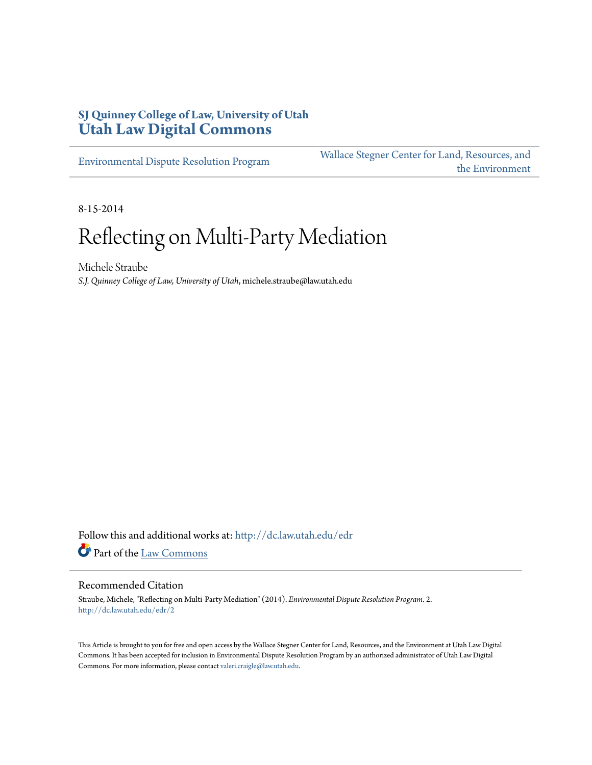## **SJ Quinney College of Law, University of Utah [Utah Law Digital Commons](http://dc.law.utah.edu?utm_source=dc.law.utah.edu%2Fedr%2F2&utm_medium=PDF&utm_campaign=PDFCoverPages)**

[Environmental Dispute Resolution Program](http://dc.law.utah.edu/edr?utm_source=dc.law.utah.edu%2Fedr%2F2&utm_medium=PDF&utm_campaign=PDFCoverPages)

[Wallace Stegner Center for Land, Resources, and](http://dc.law.utah.edu/stegner?utm_source=dc.law.utah.edu%2Fedr%2F2&utm_medium=PDF&utm_campaign=PDFCoverPages) [the Environment](http://dc.law.utah.edu/stegner?utm_source=dc.law.utah.edu%2Fedr%2F2&utm_medium=PDF&utm_campaign=PDFCoverPages)

8-15-2014

# Reflecting on Multi-Party Mediation

Michele Straube *S.J. Quinney College of Law, University of Utah*, michele.straube@law.utah.edu

Follow this and additional works at: [http://dc.law.utah.edu/edr](http://dc.law.utah.edu/edr?utm_source=dc.law.utah.edu%2Fedr%2F2&utm_medium=PDF&utm_campaign=PDFCoverPages) Part of the [Law Commons](http://network.bepress.com/hgg/discipline/578?utm_source=dc.law.utah.edu%2Fedr%2F2&utm_medium=PDF&utm_campaign=PDFCoverPages)

#### Recommended Citation

Straube, Michele, "Reflecting on Multi-Party Mediation" (2014). *Environmental Dispute Resolution Program*. 2. [http://dc.law.utah.edu/edr/2](http://dc.law.utah.edu/edr/2?utm_source=dc.law.utah.edu%2Fedr%2F2&utm_medium=PDF&utm_campaign=PDFCoverPages)

This Article is brought to you for free and open access by the Wallace Stegner Center for Land, Resources, and the Environment at Utah Law Digital Commons. It has been accepted for inclusion in Environmental Dispute Resolution Program by an authorized administrator of Utah Law Digital Commons. For more information, please contact [valeri.craigle@law.utah.edu](mailto:valeri.craigle@law.utah.edu).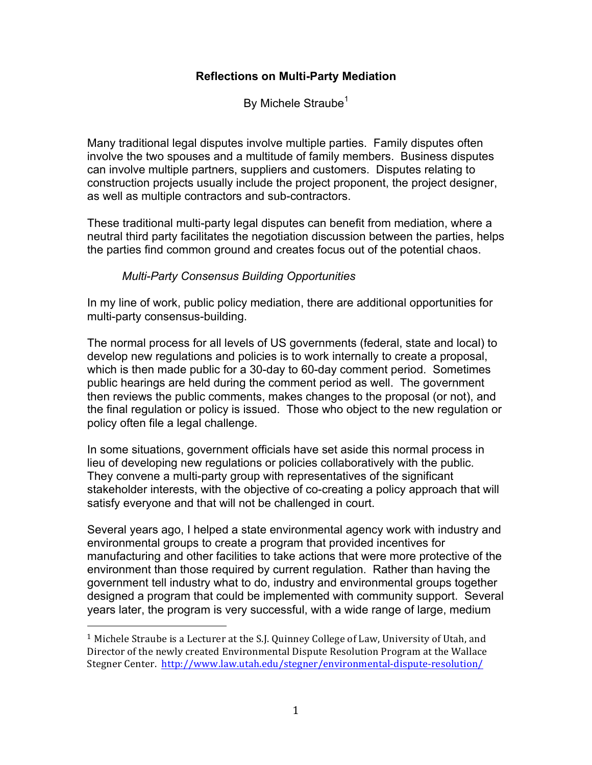### **Reflections on Multi-Party Mediation**

By Michele Straube<sup>1</sup>

Many traditional legal disputes involve multiple parties. Family disputes often involve the two spouses and a multitude of family members. Business disputes can involve multiple partners, suppliers and customers. Disputes relating to construction projects usually include the project proponent, the project designer, as well as multiple contractors and sub-contractors.

These traditional multi-party legal disputes can benefit from mediation, where a neutral third party facilitates the negotiation discussion between the parties, helps the parties find common ground and creates focus out of the potential chaos.

### *Multi-Party Consensus Building Opportunities*

In my line of work, public policy mediation, there are additional opportunities for multi-party consensus-building.

The normal process for all levels of US governments (federal, state and local) to develop new regulations and policies is to work internally to create a proposal, which is then made public for a 30-day to 60-day comment period. Sometimes public hearings are held during the comment period as well. The government then reviews the public comments, makes changes to the proposal (or not), and the final regulation or policy is issued. Those who object to the new regulation or policy often file a legal challenge.

In some situations, government officials have set aside this normal process in lieu of developing new regulations or policies collaboratively with the public. They convene a multi-party group with representatives of the significant stakeholder interests, with the objective of co-creating a policy approach that will satisfy everyone and that will not be challenged in court.

Several years ago, I helped a state environmental agency work with industry and environmental groups to create a program that provided incentives for manufacturing and other facilities to take actions that were more protective of the environment than those required by current regulation. Rather than having the government tell industry what to do, industry and environmental groups together designed a program that could be implemented with community support. Several years later, the program is very successful, with a wide range of large, medium

 

<sup>&</sup>lt;sup>1</sup> Michele Straube is a Lecturer at the S.J. Quinney College of Law, University of Utah, and Director of the newly created Environmental Dispute Resolution Program at the Wallace Stegner Center. http://www.law.utah.edu/stegner/environmental-dispute-resolution/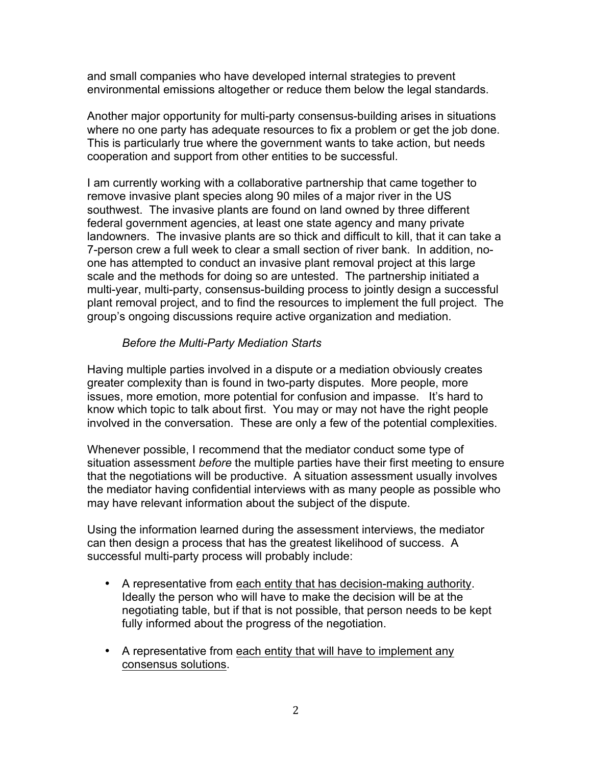and small companies who have developed internal strategies to prevent environmental emissions altogether or reduce them below the legal standards.

Another major opportunity for multi-party consensus-building arises in situations where no one party has adequate resources to fix a problem or get the job done. This is particularly true where the government wants to take action, but needs cooperation and support from other entities to be successful.

I am currently working with a collaborative partnership that came together to remove invasive plant species along 90 miles of a major river in the US southwest. The invasive plants are found on land owned by three different federal government agencies, at least one state agency and many private landowners. The invasive plants are so thick and difficult to kill, that it can take a 7-person crew a full week to clear a small section of river bank. In addition, noone has attempted to conduct an invasive plant removal project at this large scale and the methods for doing so are untested. The partnership initiated a multi-year, multi-party, consensus-building process to jointly design a successful plant removal project, and to find the resources to implement the full project. The group's ongoing discussions require active organization and mediation.

#### *Before the Multi-Party Mediation Starts*

Having multiple parties involved in a dispute or a mediation obviously creates greater complexity than is found in two-party disputes. More people, more issues, more emotion, more potential for confusion and impasse. It's hard to know which topic to talk about first. You may or may not have the right people involved in the conversation. These are only a few of the potential complexities.

Whenever possible, I recommend that the mediator conduct some type of situation assessment *before* the multiple parties have their first meeting to ensure that the negotiations will be productive. A situation assessment usually involves the mediator having confidential interviews with as many people as possible who may have relevant information about the subject of the dispute.

Using the information learned during the assessment interviews, the mediator can then design a process that has the greatest likelihood of success. A successful multi-party process will probably include:

- A representative from each entity that has decision-making authority. Ideally the person who will have to make the decision will be at the negotiating table, but if that is not possible, that person needs to be kept fully informed about the progress of the negotiation.
- A representative from each entity that will have to implement any consensus solutions.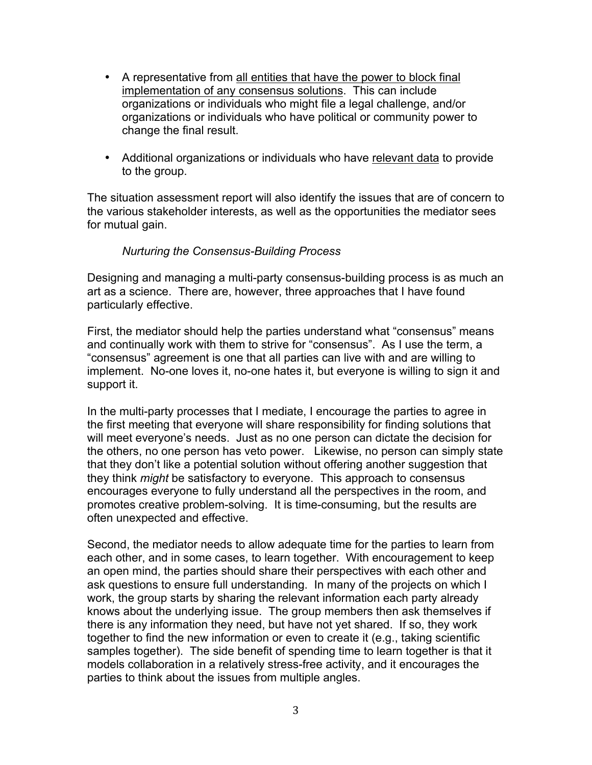- A representative from all entities that have the power to block final implementation of any consensus solutions. This can include organizations or individuals who might file a legal challenge, and/or organizations or individuals who have political or community power to change the final result.
- Additional organizations or individuals who have relevant data to provide to the group.

The situation assessment report will also identify the issues that are of concern to the various stakeholder interests, as well as the opportunities the mediator sees for mutual gain.

#### *Nurturing the Consensus-Building Process*

Designing and managing a multi-party consensus-building process is as much an art as a science. There are, however, three approaches that I have found particularly effective.

First, the mediator should help the parties understand what "consensus" means and continually work with them to strive for "consensus". As I use the term, a "consensus" agreement is one that all parties can live with and are willing to implement. No-one loves it, no-one hates it, but everyone is willing to sign it and support it.

In the multi-party processes that I mediate, I encourage the parties to agree in the first meeting that everyone will share responsibility for finding solutions that will meet everyone's needs. Just as no one person can dictate the decision for the others, no one person has veto power. Likewise, no person can simply state that they don't like a potential solution without offering another suggestion that they think *might* be satisfactory to everyone. This approach to consensus encourages everyone to fully understand all the perspectives in the room, and promotes creative problem-solving. It is time-consuming, but the results are often unexpected and effective.

Second, the mediator needs to allow adequate time for the parties to learn from each other, and in some cases, to learn together. With encouragement to keep an open mind, the parties should share their perspectives with each other and ask questions to ensure full understanding. In many of the projects on which I work, the group starts by sharing the relevant information each party already knows about the underlying issue. The group members then ask themselves if there is any information they need, but have not yet shared. If so, they work together to find the new information or even to create it (e.g., taking scientific samples together). The side benefit of spending time to learn together is that it models collaboration in a relatively stress-free activity, and it encourages the parties to think about the issues from multiple angles.